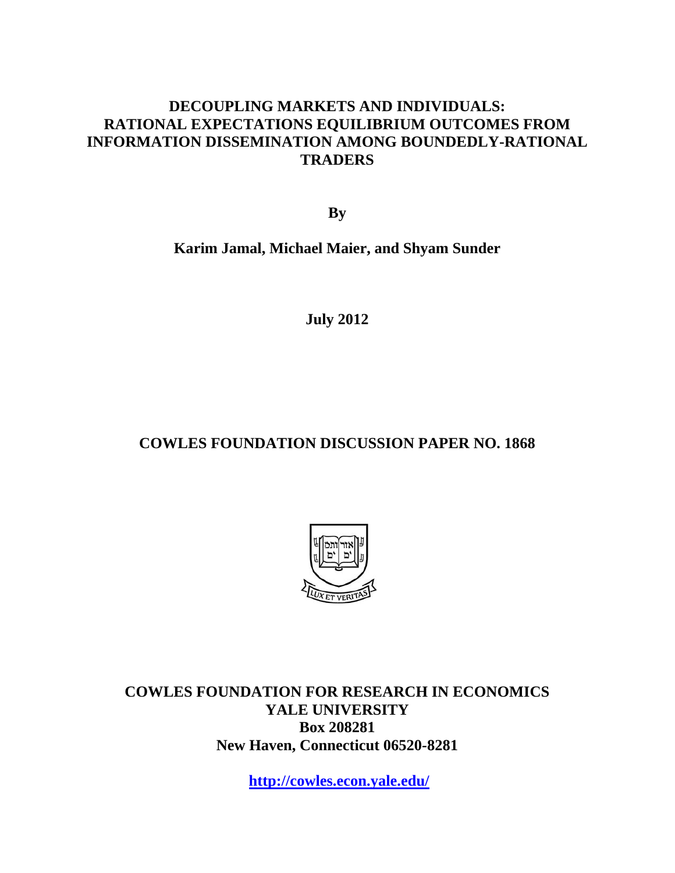## **DECOUPLING MARKETS AND INDIVIDUALS: RATIONAL EXPECTATIONS EQUILIBRIUM OUTCOMES FROM INFORMATION DISSEMINATION AMONG BOUNDEDLY-RATIONAL TRADERS**

**By** 

**Karim Jamal, Michael Maier, and Shyam Sunder** 

**July 2012** 

# **COWLES FOUNDATION DISCUSSION PAPER NO. 1868**



**COWLES FOUNDATION FOR RESEARCH IN ECONOMICS YALE UNIVERSITY Box 208281 New Haven, Connecticut 06520-8281** 

**http://cowles.econ.yale.edu/**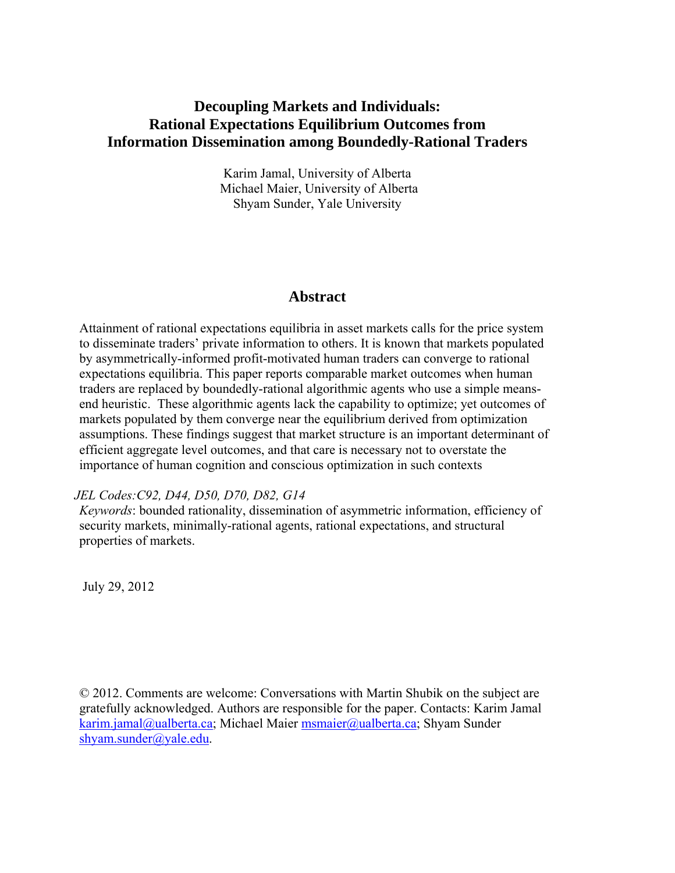## **Decoupling Markets and Individuals: Rational Expectations Equilibrium Outcomes from Information Dissemination among Boundedly-Rational Traders**

Karim Jamal, University of Alberta Michael Maier, University of Alberta Shyam Sunder, Yale University

## **Abstract**

Attainment of rational expectations equilibria in asset markets calls for the price system to disseminate traders' private information to others. It is known that markets populated by asymmetrically-informed profit-motivated human traders can converge to rational expectations equilibria. This paper reports comparable market outcomes when human traders are replaced by boundedly-rational algorithmic agents who use a simple meansend heuristic. These algorithmic agents lack the capability to optimize; yet outcomes of markets populated by them converge near the equilibrium derived from optimization assumptions. These findings suggest that market structure is an important determinant of efficient aggregate level outcomes, and that care is necessary not to overstate the importance of human cognition and conscious optimization in such contexts

### *JEL Codes:C92, D44, D50, D70, D82, G14*

*Keywords*: bounded rationality, dissemination of asymmetric information, efficiency of security markets, minimally-rational agents, rational expectations, and structural properties of markets.

July 29, 2012

© 2012. Comments are welcome: Conversations with Martin Shubik on the subject are gratefully acknowledged. Authors are responsible for the paper. Contacts: Karim Jamal karim.jamal@ualberta.ca; Michael Maier msmaier@ualberta.ca; Shyam Sunder shyam.sunder@yale.edu.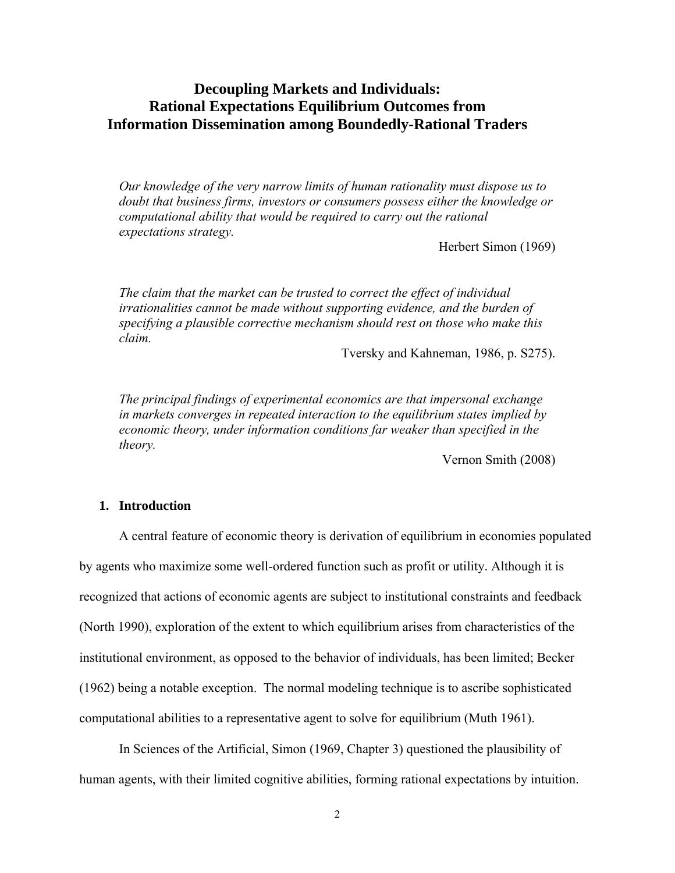## **Decoupling Markets and Individuals: Rational Expectations Equilibrium Outcomes from Information Dissemination among Boundedly-Rational Traders**

*Our knowledge of the very narrow limits of human rationality must dispose us to doubt that business firms, investors or consumers possess either the knowledge or computational ability that would be required to carry out the rational expectations strategy.* 

Herbert Simon (1969)

*The claim that the market can be trusted to correct the effect of individual irrationalities cannot be made without supporting evidence, and the burden of specifying a plausible corrective mechanism should rest on those who make this claim.* 

Tversky and Kahneman, 1986, p. S275).

*The principal findings of experimental economics are that impersonal exchange in markets converges in repeated interaction to the equilibrium states implied by economic theory, under information conditions far weaker than specified in the theory.* 

Vernon Smith (2008)

#### **1. Introduction**

 A central feature of economic theory is derivation of equilibrium in economies populated by agents who maximize some well-ordered function such as profit or utility. Although it is recognized that actions of economic agents are subject to institutional constraints and feedback (North 1990), exploration of the extent to which equilibrium arises from characteristics of the institutional environment, as opposed to the behavior of individuals, has been limited; Becker (1962) being a notable exception. The normal modeling technique is to ascribe sophisticated computational abilities to a representative agent to solve for equilibrium (Muth 1961).

 In Sciences of the Artificial, Simon (1969, Chapter 3) questioned the plausibility of human agents, with their limited cognitive abilities, forming rational expectations by intuition.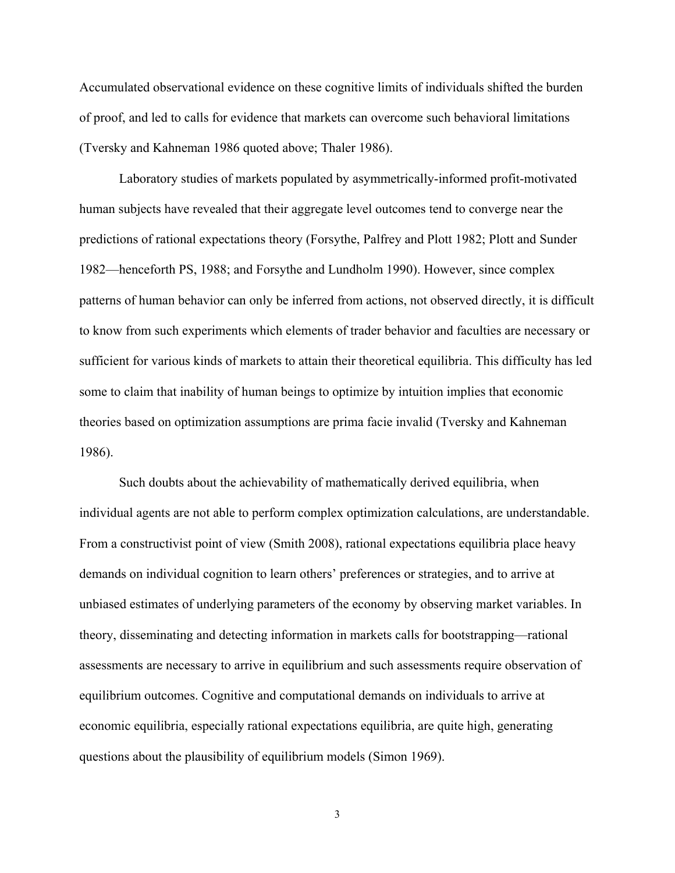Accumulated observational evidence on these cognitive limits of individuals shifted the burden of proof, and led to calls for evidence that markets can overcome such behavioral limitations (Tversky and Kahneman 1986 quoted above; Thaler 1986).

 Laboratory studies of markets populated by asymmetrically-informed profit-motivated human subjects have revealed that their aggregate level outcomes tend to converge near the predictions of rational expectations theory (Forsythe, Palfrey and Plott 1982; Plott and Sunder 1982—henceforth PS, 1988; and Forsythe and Lundholm 1990). However, since complex patterns of human behavior can only be inferred from actions, not observed directly, it is difficult to know from such experiments which elements of trader behavior and faculties are necessary or sufficient for various kinds of markets to attain their theoretical equilibria. This difficulty has led some to claim that inability of human beings to optimize by intuition implies that economic theories based on optimization assumptions are prima facie invalid (Tversky and Kahneman 1986).

 Such doubts about the achievability of mathematically derived equilibria, when individual agents are not able to perform complex optimization calculations, are understandable. From a constructivist point of view (Smith 2008), rational expectations equilibria place heavy demands on individual cognition to learn others' preferences or strategies, and to arrive at unbiased estimates of underlying parameters of the economy by observing market variables. In theory, disseminating and detecting information in markets calls for bootstrapping—rational assessments are necessary to arrive in equilibrium and such assessments require observation of equilibrium outcomes. Cognitive and computational demands on individuals to arrive at economic equilibria, especially rational expectations equilibria, are quite high, generating questions about the plausibility of equilibrium models (Simon 1969).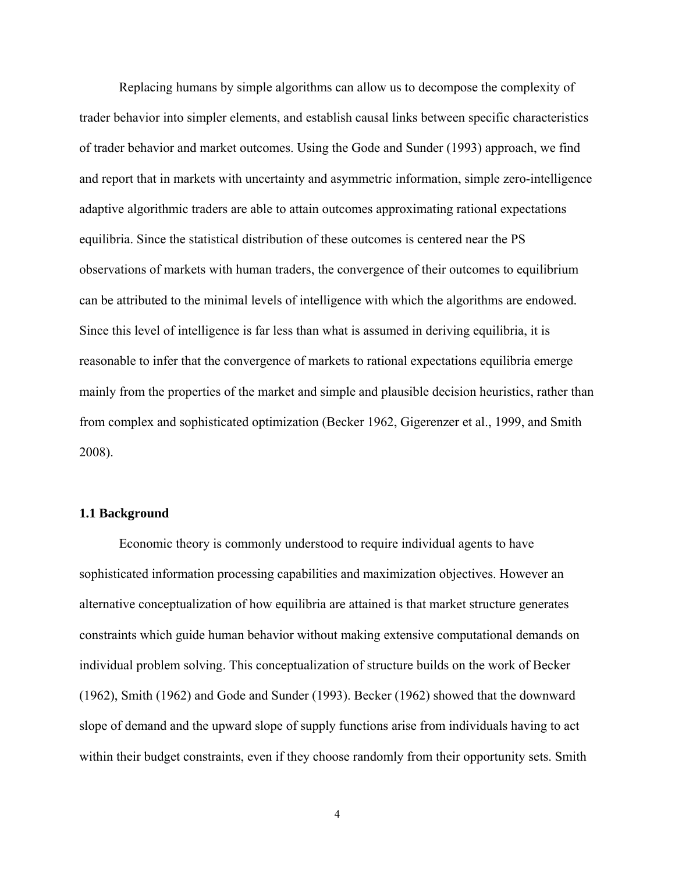Replacing humans by simple algorithms can allow us to decompose the complexity of trader behavior into simpler elements, and establish causal links between specific characteristics of trader behavior and market outcomes. Using the Gode and Sunder (1993) approach, we find and report that in markets with uncertainty and asymmetric information, simple zero-intelligence adaptive algorithmic traders are able to attain outcomes approximating rational expectations equilibria. Since the statistical distribution of these outcomes is centered near the PS observations of markets with human traders, the convergence of their outcomes to equilibrium can be attributed to the minimal levels of intelligence with which the algorithms are endowed. Since this level of intelligence is far less than what is assumed in deriving equilibria, it is reasonable to infer that the convergence of markets to rational expectations equilibria emerge mainly from the properties of the market and simple and plausible decision heuristics, rather than from complex and sophisticated optimization (Becker 1962, Gigerenzer et al., 1999, and Smith 2008).

#### **1.1 Background**

 Economic theory is commonly understood to require individual agents to have sophisticated information processing capabilities and maximization objectives. However an alternative conceptualization of how equilibria are attained is that market structure generates constraints which guide human behavior without making extensive computational demands on individual problem solving. This conceptualization of structure builds on the work of Becker (1962), Smith (1962) and Gode and Sunder (1993). Becker (1962) showed that the downward slope of demand and the upward slope of supply functions arise from individuals having to act within their budget constraints, even if they choose randomly from their opportunity sets. Smith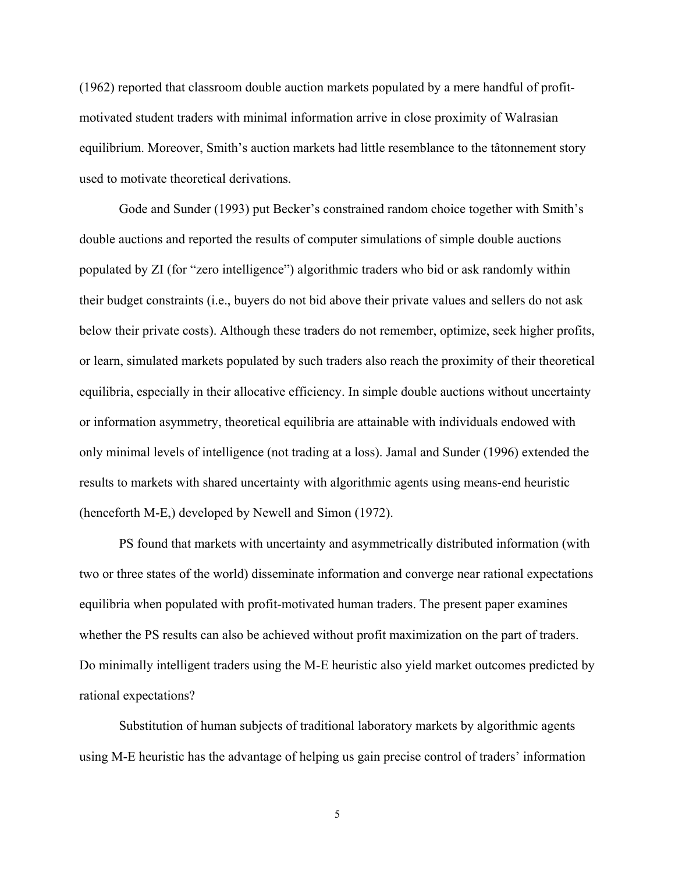(1962) reported that classroom double auction markets populated by a mere handful of profitmotivated student traders with minimal information arrive in close proximity of Walrasian equilibrium. Moreover, Smith's auction markets had little resemblance to the tâtonnement story used to motivate theoretical derivations.

 Gode and Sunder (1993) put Becker's constrained random choice together with Smith's double auctions and reported the results of computer simulations of simple double auctions populated by ZI (for "zero intelligence") algorithmic traders who bid or ask randomly within their budget constraints (i.e., buyers do not bid above their private values and sellers do not ask below their private costs). Although these traders do not remember, optimize, seek higher profits, or learn, simulated markets populated by such traders also reach the proximity of their theoretical equilibria, especially in their allocative efficiency. In simple double auctions without uncertainty or information asymmetry, theoretical equilibria are attainable with individuals endowed with only minimal levels of intelligence (not trading at a loss). Jamal and Sunder (1996) extended the results to markets with shared uncertainty with algorithmic agents using means-end heuristic (henceforth M-E,) developed by Newell and Simon (1972).

 PS found that markets with uncertainty and asymmetrically distributed information (with two or three states of the world) disseminate information and converge near rational expectations equilibria when populated with profit-motivated human traders. The present paper examines whether the PS results can also be achieved without profit maximization on the part of traders. Do minimally intelligent traders using the M-E heuristic also yield market outcomes predicted by rational expectations?

 Substitution of human subjects of traditional laboratory markets by algorithmic agents using M-E heuristic has the advantage of helping us gain precise control of traders' information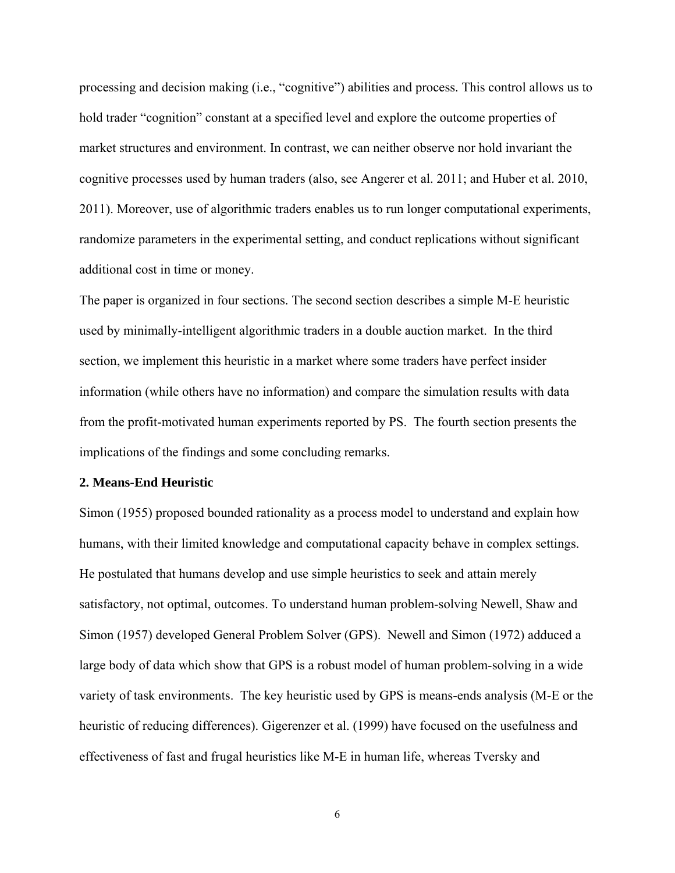processing and decision making (i.e., "cognitive") abilities and process. This control allows us to hold trader "cognition" constant at a specified level and explore the outcome properties of market structures and environment. In contrast, we can neither observe nor hold invariant the cognitive processes used by human traders (also, see Angerer et al. 2011; and Huber et al. 2010, 2011). Moreover, use of algorithmic traders enables us to run longer computational experiments, randomize parameters in the experimental setting, and conduct replications without significant additional cost in time or money.

The paper is organized in four sections. The second section describes a simple M-E heuristic used by minimally-intelligent algorithmic traders in a double auction market. In the third section, we implement this heuristic in a market where some traders have perfect insider information (while others have no information) and compare the simulation results with data from the profit-motivated human experiments reported by PS. The fourth section presents the implications of the findings and some concluding remarks.

#### **2. Means-End Heuristic**

Simon (1955) proposed bounded rationality as a process model to understand and explain how humans, with their limited knowledge and computational capacity behave in complex settings. He postulated that humans develop and use simple heuristics to seek and attain merely satisfactory, not optimal, outcomes. To understand human problem-solving Newell, Shaw and Simon (1957) developed General Problem Solver (GPS). Newell and Simon (1972) adduced a large body of data which show that GPS is a robust model of human problem-solving in a wide variety of task environments. The key heuristic used by GPS is means-ends analysis (M-E or the heuristic of reducing differences). Gigerenzer et al. (1999) have focused on the usefulness and effectiveness of fast and frugal heuristics like M-E in human life, whereas Tversky and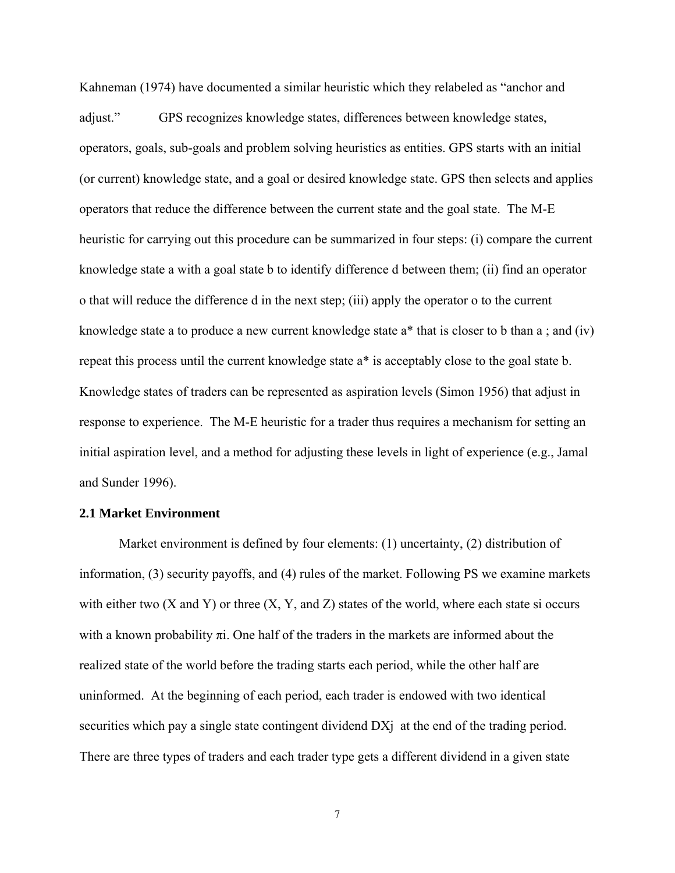Kahneman (1974) have documented a similar heuristic which they relabeled as "anchor and adjust." GPS recognizes knowledge states, differences between knowledge states, operators, goals, sub-goals and problem solving heuristics as entities. GPS starts with an initial (or current) knowledge state, and a goal or desired knowledge state. GPS then selects and applies operators that reduce the difference between the current state and the goal state. The M-E heuristic for carrying out this procedure can be summarized in four steps: (i) compare the current knowledge state a with a goal state b to identify difference d between them; (ii) find an operator o that will reduce the difference d in the next step; (iii) apply the operator o to the current knowledge state a to produce a new current knowledge state a\* that is closer to b than a ; and (iv) repeat this process until the current knowledge state a\* is acceptably close to the goal state b. Knowledge states of traders can be represented as aspiration levels (Simon 1956) that adjust in response to experience. The M-E heuristic for a trader thus requires a mechanism for setting an initial aspiration level, and a method for adjusting these levels in light of experience (e.g., Jamal and Sunder 1996).

#### **2.1 Market Environment**

 Market environment is defined by four elements: (1) uncertainty, (2) distribution of information, (3) security payoffs, and (4) rules of the market. Following PS we examine markets with either two  $(X \text{ and } Y)$  or three  $(X, Y, \text{ and } Z)$  states of the world, where each state si occurs with a known probability  $\pi i$ . One half of the traders in the markets are informed about the realized state of the world before the trading starts each period, while the other half are uninformed. At the beginning of each period, each trader is endowed with two identical securities which pay a single state contingent dividend DX<sub>j</sub> at the end of the trading period. There are three types of traders and each trader type gets a different dividend in a given state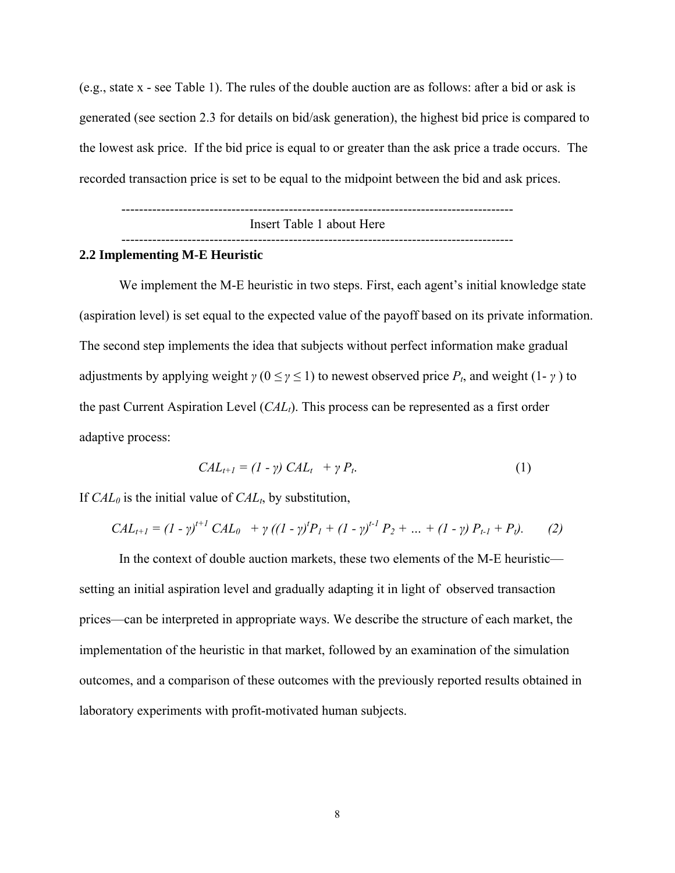(e.g., state x - see Table 1). The rules of the double auction are as follows: after a bid or ask is generated (see section 2.3 for details on bid/ask generation), the highest bid price is compared to the lowest ask price. If the bid price is equal to or greater than the ask price a trade occurs. The recorded transaction price is set to be equal to the midpoint between the bid and ask prices.

----------------------------------------------------------------------------------------- Insert Table 1 about Here -----------------------------------------------------------------------------------------

#### **2.2 Implementing M-E Heuristic**

We implement the M-E heuristic in two steps. First, each agent's initial knowledge state (aspiration level) is set equal to the expected value of the payoff based on its private information. The second step implements the idea that subjects without perfect information make gradual adjustments by applying weight  $\gamma$  ( $0 \leq \gamma \leq 1$ ) to newest observed price  $P_t$ , and weight (1-  $\gamma$ ) to the past Current Aspiration Level (*CALt*). This process can be represented as a first order adaptive process:

$$
CALt+1 = (1 - \gamma) CALt + \gamma Pt.
$$
 (1)

If  $CAL<sub>0</sub>$  is the initial value of  $CAL<sub>t</sub>$ , by substitution,

$$
CAL_{t+1} = (1 - \gamma)^{t+1} CAL_0 + \gamma ((1 - \gamma)^t P_1 + (1 - \gamma)^{t-1} P_2 + ... + (1 - \gamma) P_{t-1} + P_t).
$$
 (2)

 In the context of double auction markets, these two elements of the M-E heuristic setting an initial aspiration level and gradually adapting it in light of observed transaction prices—can be interpreted in appropriate ways. We describe the structure of each market, the implementation of the heuristic in that market, followed by an examination of the simulation outcomes, and a comparison of these outcomes with the previously reported results obtained in laboratory experiments with profit-motivated human subjects.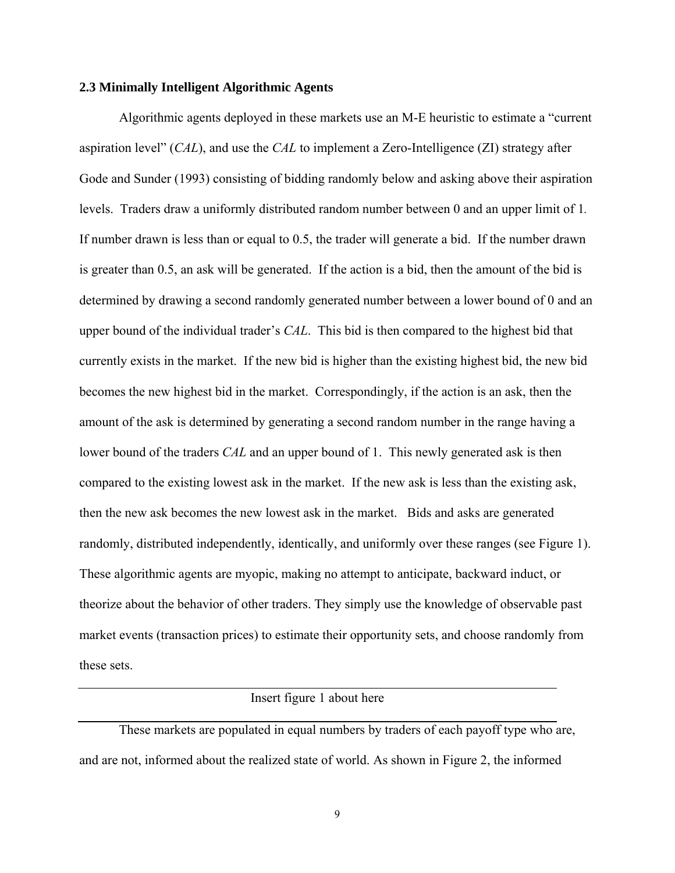#### **2.3 Minimally Intelligent Algorithmic Agents**

Algorithmic agents deployed in these markets use an M-E heuristic to estimate a "current aspiration level" (*CAL*), and use the *CAL* to implement a Zero-Intelligence (ZI) strategy after Gode and Sunder (1993) consisting of bidding randomly below and asking above their aspiration levels. Traders draw a uniformly distributed random number between 0 and an upper limit of 1*.*  If number drawn is less than or equal to 0.5, the trader will generate a bid. If the number drawn is greater than 0.5, an ask will be generated. If the action is a bid, then the amount of the bid is determined by drawing a second randomly generated number between a lower bound of 0 and an upper bound of the individual trader's *CAL*. This bid is then compared to the highest bid that currently exists in the market. If the new bid is higher than the existing highest bid, the new bid becomes the new highest bid in the market. Correspondingly, if the action is an ask, then the amount of the ask is determined by generating a second random number in the range having a lower bound of the traders *CAL* and an upper bound of 1. This newly generated ask is then compared to the existing lowest ask in the market. If the new ask is less than the existing ask, then the new ask becomes the new lowest ask in the market. Bids and asks are generated randomly, distributed independently, identically, and uniformly over these ranges (see Figure 1). These algorithmic agents are myopic, making no attempt to anticipate, backward induct, or theorize about the behavior of other traders. They simply use the knowledge of observable past market events (transaction prices) to estimate their opportunity sets, and choose randomly from these sets.

Insert figure 1 about here

These markets are populated in equal numbers by traders of each payoff type who are, and are not, informed about the realized state of world. As shown in Figure 2, the informed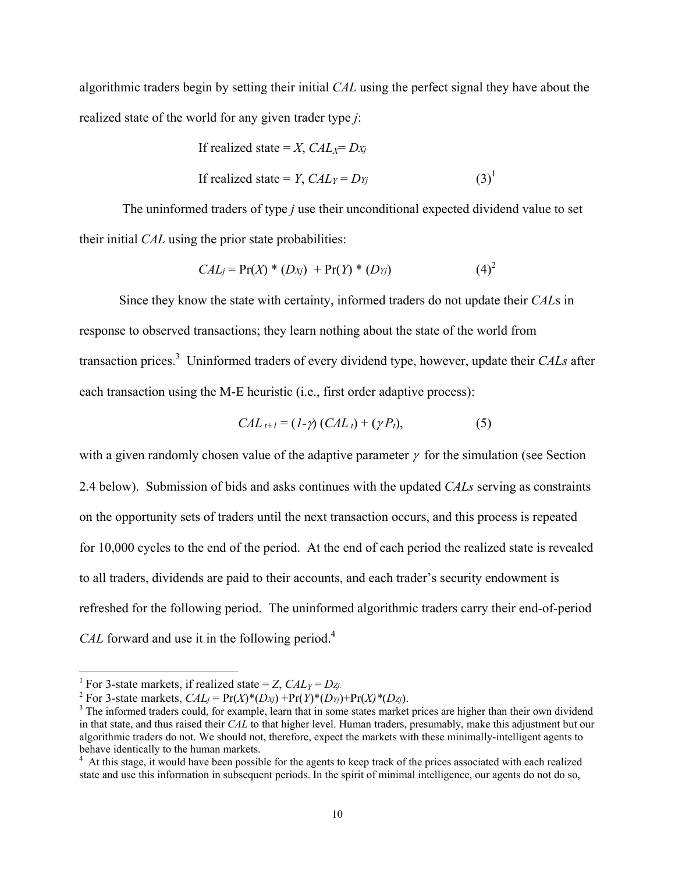algorithmic traders begin by setting their initial *CAL* using the perfect signal they have about the realized state of the world for any given trader type *j*:

If realized state = X, 
$$
CAL_X = D_{Xj}
$$
  
If realized state = Y,  $CAL_Y = D_{Yj}$  (3)<sup>1</sup>

 The uninformed traders of type *j* use their unconditional expected dividend value to set their initial *CAL* using the prior state probabilities:

$$
CALj = Pr(X) * (DXj) + Pr(Y) * (DYj)
$$
 (4)<sup>2</sup>

 Since they know the state with certainty, informed traders do not update their *CAL*s in response to observed transactions; they learn nothing about the state of the world from transaction prices.<sup>3</sup> Uninformed traders of every dividend type, however, update their *CALs* after each transaction using the M-E heuristic (i.e., first order adaptive process):

$$
CALt+1 = (1-γ) (CALt) + (γPt),
$$
\n(5)

with a given randomly chosen value of the adaptive parameter  $\gamma$  for the simulation (see Section 2.4 below). Submission of bids and asks continues with the updated *CALs* serving as constraints on the opportunity sets of traders until the next transaction occurs, and this process is repeated for 10,000 cycles to the end of the period. At the end of each period the realized state is revealed to all traders, dividends are paid to their accounts, and each trader's security endowment is refreshed for the following period. The uninformed algorithmic traders carry their end-of-period *CAL* forward and use it in the following period.<sup>4</sup>

 $\overline{a}$ 

<sup>&</sup>lt;sup>1</sup> For 3-state markets, if realized state = *Z*,  $CAL<sub>Y</sub> = D<sub>Zj</sub>$ .

<sup>&</sup>lt;sup>2</sup> For 3-state markets,  $CAL<sub>i</sub> = Pr(X)*(D<sub>X<sub>i</sub></sub>) + Pr(Y)*(D<sub>Y<sub>i</sub></sub>) + Pr(X)*(D<sub>Z<sub>i</sub></sub>).$ 

<sup>&</sup>lt;sup>3</sup> The informed traders could, for example, learn that in some states market prices are higher than their own dividend in that state, and thus raised their *CAL* to that higher level. Human traders, presumably, make this adjustment but our algorithmic traders do not. We should not, therefore, expect the markets with these minimally-intelligent agents to behave identically to the human markets.

<sup>&</sup>lt;sup>4</sup> At this stage, it would have been possible for the agents to keep track of the prices associated with each realized state and use this information in subsequent periods. In the spirit of minimal intelligence, our agents do not do so,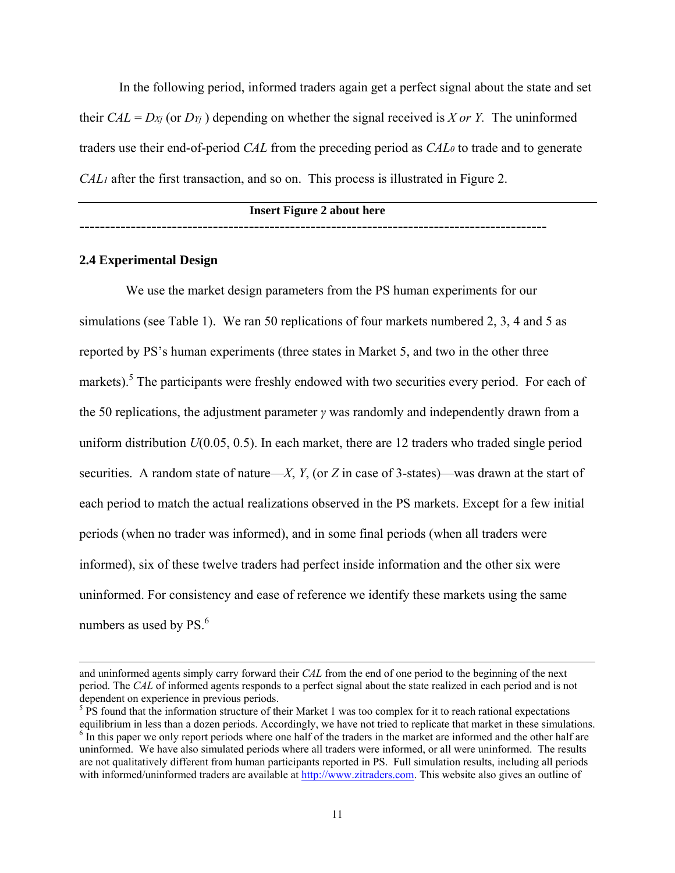In the following period, informed traders again get a perfect signal about the state and set their *CAL* = *D<sub>Xj</sub>* (or *D<sub>Yj</sub>*) depending on whether the signal received is *X* or *Y*. The uninformed traders use their end-of-period *CAL* from the preceding period as *CAL0* to trade and to generate *CAL<sub>1</sub>* after the first transaction, and so on. This process is illustrated in Figure 2.

**Insert Figure 2 about here** 

**-------------------------------------------------------------------------------------------** 

#### **2.4 Experimental Design**

 $\overline{\phantom{a}}$ 

 We use the market design parameters from the PS human experiments for our simulations (see Table 1). We ran 50 replications of four markets numbered 2, 3, 4 and 5 as reported by PS's human experiments (three states in Market 5, and two in the other three markets).<sup>5</sup> The participants were freshly endowed with two securities every period. For each of the 50 replications, the adjustment parameter *γ* was randomly and independently drawn from a uniform distribution *U*(0.05, 0.5). In each market, there are 12 traders who traded single period securities. A random state of nature—*X*, *Y*, (or *Z* in case of 3-states)—was drawn at the start of each period to match the actual realizations observed in the PS markets. Except for a few initial periods (when no trader was informed), and in some final periods (when all traders were informed), six of these twelve traders had perfect inside information and the other six were uninformed. For consistency and ease of reference we identify these markets using the same numbers as used by  $PS.<sup>6</sup>$ 

and uninformed agents simply carry forward their *CAL* from the end of one period to the beginning of the next period. The *CAL* of informed agents responds to a perfect signal about the state realized in each period and is not dependent on experience in previous periods.

<sup>&</sup>lt;sup>5</sup> PS found that the information structure of their Market 1 was too complex for it to reach rational expectations equilibrium in less than a dozen periods. Accordingly, we have not tried to replicate that market in these simulations. 6 <sup>6</sup> In this paper we only report periods where one half of the traders in the market are informed and the other half are uninformed. We have also simulated periods where all traders were informed, or all were uninformed. The results are not qualitatively different from human participants reported in PS. Full simulation results, including all periods with informed/uninformed traders are available at http://www.zitraders.com. This website also gives an outline of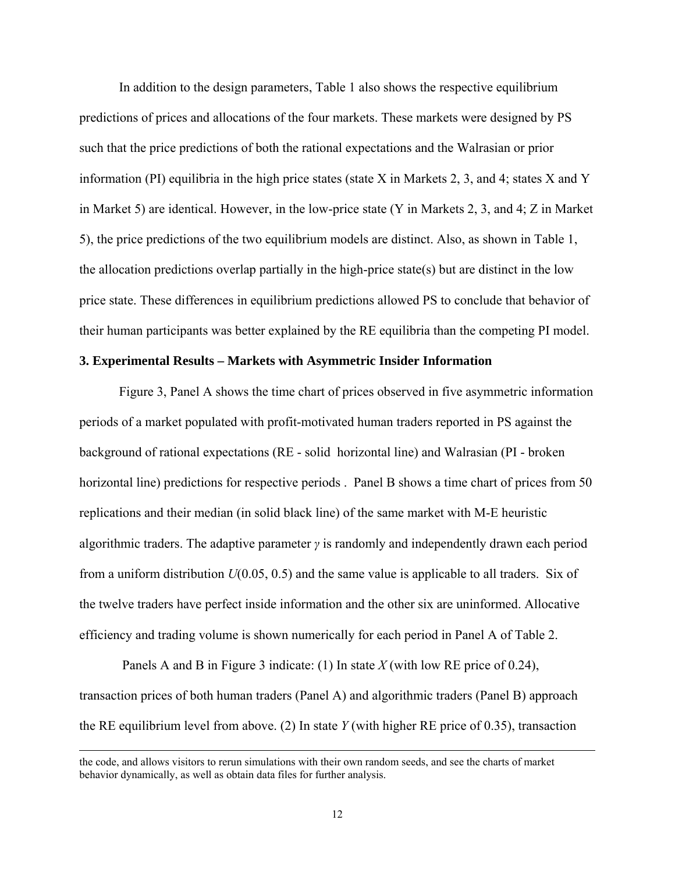In addition to the design parameters, Table 1 also shows the respective equilibrium predictions of prices and allocations of the four markets. These markets were designed by PS such that the price predictions of both the rational expectations and the Walrasian or prior information (PI) equilibria in the high price states (state X in Markets 2, 3, and 4; states X and Y in Market 5) are identical. However, in the low-price state (Y in Markets 2, 3, and 4; Z in Market 5), the price predictions of the two equilibrium models are distinct. Also, as shown in Table 1, the allocation predictions overlap partially in the high-price state(s) but are distinct in the low price state. These differences in equilibrium predictions allowed PS to conclude that behavior of their human participants was better explained by the RE equilibria than the competing PI model.

#### **3. Experimental Results – Markets with Asymmetric Insider Information**

 Figure 3, Panel A shows the time chart of prices observed in five asymmetric information periods of a market populated with profit-motivated human traders reported in PS against the background of rational expectations (RE - solid horizontal line) and Walrasian (PI - broken horizontal line) predictions for respective periods. Panel B shows a time chart of prices from 50 replications and their median (in solid black line) of the same market with M-E heuristic algorithmic traders. The adaptive parameter *γ* is randomly and independently drawn each period from a uniform distribution *U*(0.05, 0.5) and the same value is applicable to all traders. Six of the twelve traders have perfect inside information and the other six are uninformed. Allocative efficiency and trading volume is shown numerically for each period in Panel A of Table 2.

 Panels A and B in Figure 3 indicate: (1) In state *X* (with low RE price of 0.24), transaction prices of both human traders (Panel A) and algorithmic traders (Panel B) approach the RE equilibrium level from above. (2) In state *Y* (with higher RE price of 0.35), transaction

l

the code, and allows visitors to rerun simulations with their own random seeds, and see the charts of market behavior dynamically, as well as obtain data files for further analysis.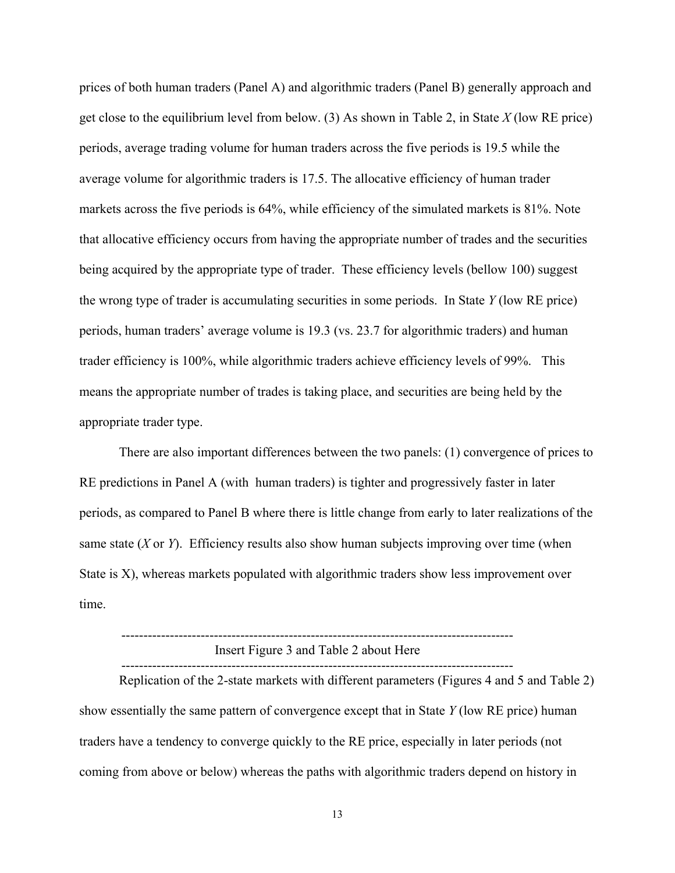prices of both human traders (Panel A) and algorithmic traders (Panel B) generally approach and get close to the equilibrium level from below. (3) As shown in Table 2, in State *X* (low RE price) periods, average trading volume for human traders across the five periods is 19.5 while the average volume for algorithmic traders is 17.5. The allocative efficiency of human trader markets across the five periods is 64%, while efficiency of the simulated markets is 81%. Note that allocative efficiency occurs from having the appropriate number of trades and the securities being acquired by the appropriate type of trader. These efficiency levels (bellow 100) suggest the wrong type of trader is accumulating securities in some periods. In State *Y* (low RE price) periods, human traders' average volume is 19.3 (vs. 23.7 for algorithmic traders) and human trader efficiency is 100%, while algorithmic traders achieve efficiency levels of 99%. This means the appropriate number of trades is taking place, and securities are being held by the appropriate trader type.

 There are also important differences between the two panels: (1) convergence of prices to RE predictions in Panel A (with human traders) is tighter and progressively faster in later periods, as compared to Panel B where there is little change from early to later realizations of the same state (*X* or *Y*). Efficiency results also show human subjects improving over time (when State is X), whereas markets populated with algorithmic traders show less improvement over time.

### ----------------------------------------------------------------------------------------- Insert Figure 3 and Table 2 about Here -----------------------------------------------------------------------------------------

Replication of the 2-state markets with different parameters (Figures 4 and 5 and Table 2) show essentially the same pattern of convergence except that in State *Y* (low RE price) human traders have a tendency to converge quickly to the RE price, especially in later periods (not coming from above or below) whereas the paths with algorithmic traders depend on history in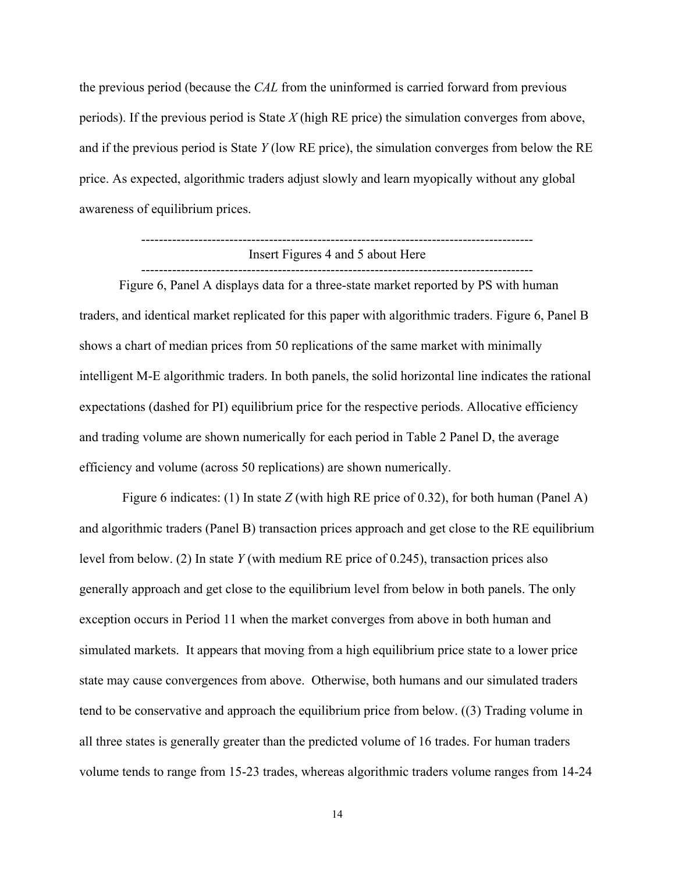the previous period (because the *CAL* from the uninformed is carried forward from previous periods). If the previous period is State *X* (high RE price) the simulation converges from above, and if the previous period is State *Y* (low RE price), the simulation converges from below the RE price. As expected, algorithmic traders adjust slowly and learn myopically without any global awareness of equilibrium prices.

### ----------------------------------------------------------------------------------------- Insert Figures 4 and 5 about Here -----------------------------------------------------------------------------------------

 Figure 6, Panel A displays data for a three-state market reported by PS with human traders, and identical market replicated for this paper with algorithmic traders. Figure 6, Panel B shows a chart of median prices from 50 replications of the same market with minimally intelligent M-E algorithmic traders. In both panels, the solid horizontal line indicates the rational expectations (dashed for PI) equilibrium price for the respective periods. Allocative efficiency and trading volume are shown numerically for each period in Table 2 Panel D, the average efficiency and volume (across 50 replications) are shown numerically.

 Figure 6 indicates: (1) In state *Z* (with high RE price of 0.32), for both human (Panel A) and algorithmic traders (Panel B) transaction prices approach and get close to the RE equilibrium level from below. (2) In state *Y* (with medium RE price of 0.245), transaction prices also generally approach and get close to the equilibrium level from below in both panels. The only exception occurs in Period 11 when the market converges from above in both human and simulated markets. It appears that moving from a high equilibrium price state to a lower price state may cause convergences from above. Otherwise, both humans and our simulated traders tend to be conservative and approach the equilibrium price from below. ((3) Trading volume in all three states is generally greater than the predicted volume of 16 trades. For human traders volume tends to range from 15-23 trades, whereas algorithmic traders volume ranges from 14-24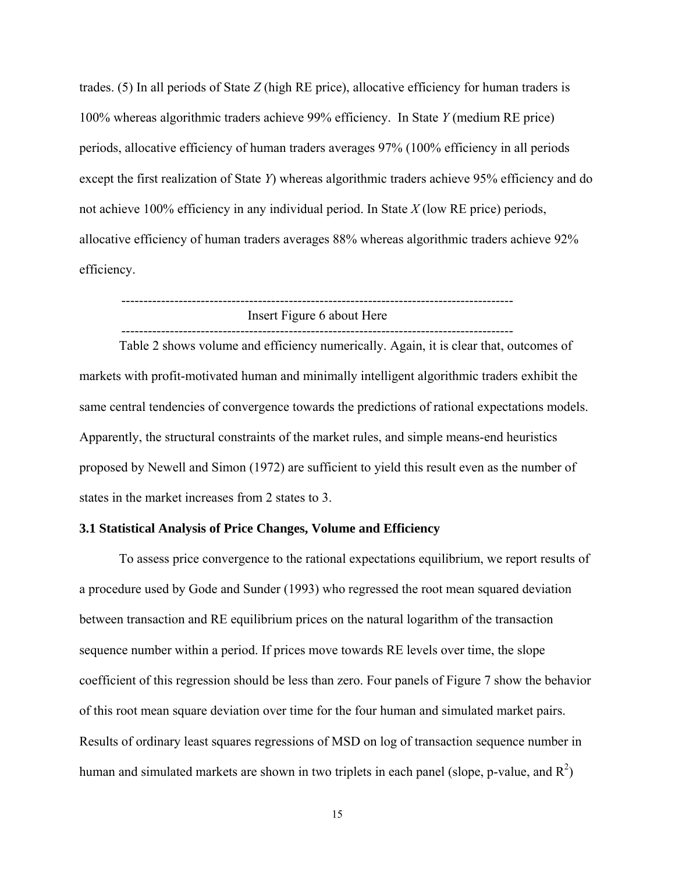trades. (5) In all periods of State *Z* (high RE price), allocative efficiency for human traders is 100% whereas algorithmic traders achieve 99% efficiency. In State *Y* (medium RE price) periods, allocative efficiency of human traders averages 97% (100% efficiency in all periods except the first realization of State *Y*) whereas algorithmic traders achieve 95% efficiency and do not achieve 100% efficiency in any individual period. In State *X* (low RE price) periods, allocative efficiency of human traders averages 88% whereas algorithmic traders achieve 92% efficiency.

#### ----------------------------------------------------------------------------------------- Insert Figure 6 about Here -----------------------------------------------------------------------------------------

Table 2 shows volume and efficiency numerically. Again, it is clear that, outcomes of markets with profit-motivated human and minimally intelligent algorithmic traders exhibit the same central tendencies of convergence towards the predictions of rational expectations models. Apparently, the structural constraints of the market rules, and simple means-end heuristics proposed by Newell and Simon (1972) are sufficient to yield this result even as the number of states in the market increases from 2 states to 3.

#### **3.1 Statistical Analysis of Price Changes, Volume and Efficiency**

To assess price convergence to the rational expectations equilibrium, we report results of a procedure used by Gode and Sunder (1993) who regressed the root mean squared deviation between transaction and RE equilibrium prices on the natural logarithm of the transaction sequence number within a period. If prices move towards RE levels over time, the slope coefficient of this regression should be less than zero. Four panels of Figure 7 show the behavior of this root mean square deviation over time for the four human and simulated market pairs. Results of ordinary least squares regressions of MSD on log of transaction sequence number in human and simulated markets are shown in two triplets in each panel (slope, p-value, and  $R^2$ )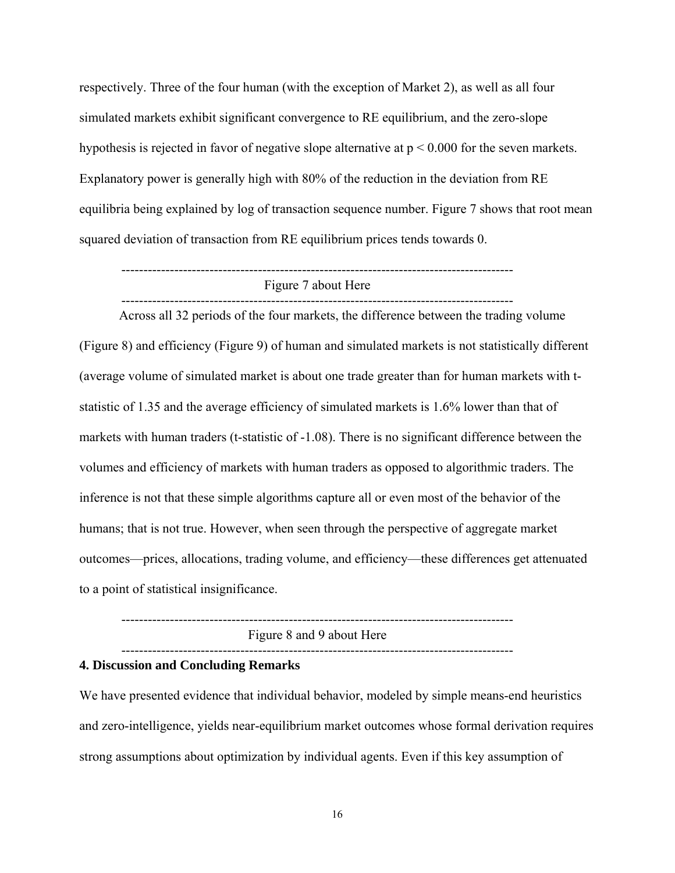respectively. Three of the four human (with the exception of Market 2), as well as all four simulated markets exhibit significant convergence to RE equilibrium, and the zero-slope hypothesis is rejected in favor of negative slope alternative at  $p \le 0.000$  for the seven markets. Explanatory power is generally high with 80% of the reduction in the deviation from RE equilibria being explained by log of transaction sequence number. Figure 7 shows that root mean squared deviation of transaction from RE equilibrium prices tends towards 0.

----------------------------------------------------------------------------------------- Figure 7 about Here -----------------------------------------------------------------------------------------

Across all 32 periods of the four markets, the difference between the trading volume (Figure 8) and efficiency (Figure 9) of human and simulated markets is not statistically different (average volume of simulated market is about one trade greater than for human markets with tstatistic of 1.35 and the average efficiency of simulated markets is 1.6% lower than that of markets with human traders (t-statistic of -1.08). There is no significant difference between the volumes and efficiency of markets with human traders as opposed to algorithmic traders. The inference is not that these simple algorithms capture all or even most of the behavior of the humans; that is not true. However, when seen through the perspective of aggregate market outcomes—prices, allocations, trading volume, and efficiency—these differences get attenuated to a point of statistical insignificance.

----------------------------------------------------------------------------------------- Figure 8 and 9 about Here -----------------------------------------------------------------------------------------

#### **4. Discussion and Concluding Remarks**

We have presented evidence that individual behavior, modeled by simple means-end heuristics and zero-intelligence, yields near-equilibrium market outcomes whose formal derivation requires strong assumptions about optimization by individual agents. Even if this key assumption of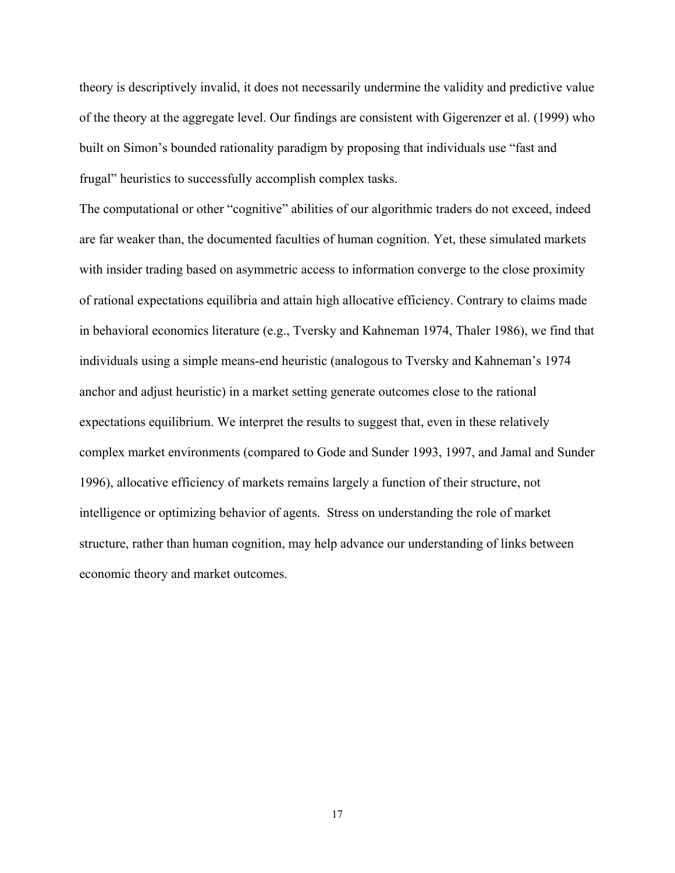theory is descriptively invalid, it does not necessarily undermine the validity and predictive value of the theory at the aggregate level. Our findings are consistent with Gigerenzer et al. (1999) who built on Simon's bounded rationality paradigm by proposing that individuals use "fast and frugal" heuristics to successfully accomplish complex tasks.

The computational or other "cognitive" abilities of our algorithmic traders do not exceed, indeed are far weaker than, the documented faculties of human cognition. Yet, these simulated markets with insider trading based on asymmetric access to information converge to the close proximity of rational expectations equilibria and attain high allocative efficiency. Contrary to claims made in behavioral economics literature (e.g., Tversky and Kahneman 1974, Thaler 1986), we find that individuals using a simple means-end heuristic (analogous to Tversky and Kahneman's 1974 anchor and adjust heuristic) in a market setting generate outcomes close to the rational expectations equilibrium. We interpret the results to suggest that, even in these relatively complex market environments (compared to Gode and Sunder 1993, 1997, and Jamal and Sunder 1996), allocative efficiency of markets remains largely a function of their structure, not intelligence or optimizing behavior of agents. Stress on understanding the role of market structure, rather than human cognition, may help advance our understanding of links between economic theory and market outcomes.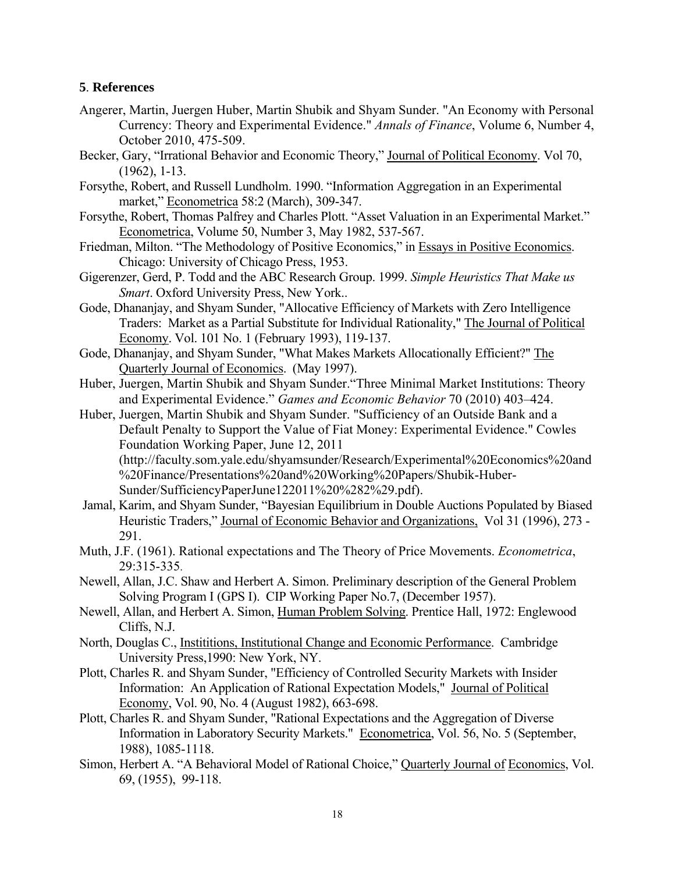## **5**. **References**

- Angerer, Martin, Juergen Huber, Martin Shubik and Shyam Sunder. "An Economy with Personal Currency: Theory and Experimental Evidence." *Annals of Finance*, Volume 6, Number 4, October 2010, 475-509.
- Becker, Gary, "Irrational Behavior and Economic Theory," Journal of Political Economy. Vol 70, (1962), 1-13.
- Forsythe, Robert, and Russell Lundholm. 1990. "Information Aggregation in an Experimental market," Econometrica 58:2 (March), 309-347.
- Forsythe, Robert, Thomas Palfrey and Charles Plott. "Asset Valuation in an Experimental Market." Econometrica, Volume 50, Number 3, May 1982, 537-567.
- Friedman, Milton. "The Methodology of Positive Economics," in Essays in Positive Economics. Chicago: University of Chicago Press, 1953.
- Gigerenzer, Gerd, P. Todd and the ABC Research Group. 1999. *Simple Heuristics That Make us Smart*. Oxford University Press, New York..
- Gode, Dhananjay, and Shyam Sunder, "Allocative Efficiency of Markets with Zero Intelligence Traders: Market as a Partial Substitute for Individual Rationality," The Journal of Political Economy. Vol. 101 No. 1 (February 1993), 119-137.
- Gode, Dhananjay, and Shyam Sunder, "What Makes Markets Allocationally Efficient?" The Quarterly Journal of Economics. (May 1997).
- Huber, Juergen, Martin Shubik and Shyam Sunder."Three Minimal Market Institutions: Theory and Experimental Evidence." *Games and Economic Behavior* 70 (2010) 403–424.
- Huber, Juergen, Martin Shubik and Shyam Sunder. "Sufficiency of an Outside Bank and a Default Penalty to Support the Value of Fiat Money: Experimental Evidence." Cowles Foundation Working Paper, June 12, 2011 (http://faculty.som.yale.edu/shyamsunder/Research/Experimental%20Economics%20and %20Finance/Presentations%20and%20Working%20Papers/Shubik-Huber-Sunder/SufficiencyPaperJune122011%20%282%29.pdf).
- Jamal, Karim, and Shyam Sunder, "Bayesian Equilibrium in Double Auctions Populated by Biased Heuristic Traders," Journal of Economic Behavior and Organizations, Vol 31 (1996), 273 - 291.
- Muth, J.F. (1961). Rational expectations and The Theory of Price Movements. *Econometrica*, 29:315-335.
- Newell, Allan, J.C. Shaw and Herbert A. Simon. Preliminary description of the General Problem Solving Program I (GPS I). CIP Working Paper No.7, (December 1957).
- Newell, Allan, and Herbert A. Simon, Human Problem Solving. Prentice Hall, 1972: Englewood Cliffs, N.J.
- North, Douglas C., Instititions, Institutional Change and Economic Performance. Cambridge University Press,1990: New York, NY.
- Plott, Charles R. and Shyam Sunder, "Efficiency of Controlled Security Markets with Insider Information: An Application of Rational Expectation Models," Journal of Political Economy, Vol. 90, No. 4 (August 1982), 663-698.
- Plott, Charles R. and Shyam Sunder, "Rational Expectations and the Aggregation of Diverse Information in Laboratory Security Markets." Econometrica, Vol. 56, No. 5 (September, 1988), 1085-1118.
- Simon, Herbert A. "A Behavioral Model of Rational Choice," Quarterly Journal of Economics, Vol. 69, (1955), 99-118.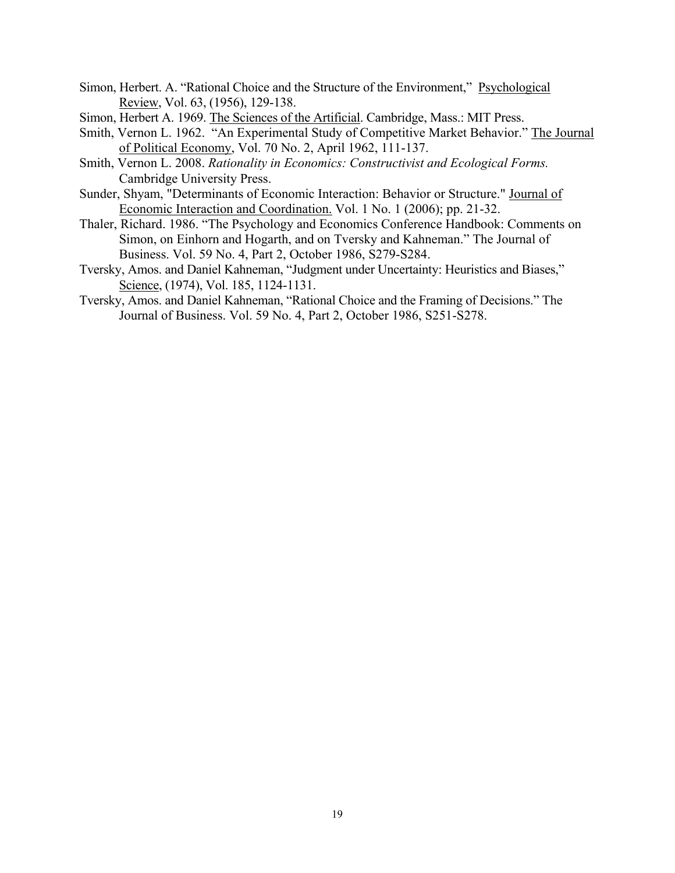- Simon, Herbert. A. "Rational Choice and the Structure of the Environment," Psychological Review, Vol. 63, (1956), 129-138.
- Simon, Herbert A. 1969. The Sciences of the Artificial. Cambridge, Mass.: MIT Press.
- Smith, Vernon L. 1962. "An Experimental Study of Competitive Market Behavior." The Journal of Political Economy, Vol. 70 No. 2, April 1962, 111-137.
- Smith, Vernon L. 2008. *Rationality in Economics: Constructivist and Ecological Forms.*  Cambridge University Press.
- Sunder, Shyam, "Determinants of Economic Interaction: Behavior or Structure." Journal of Economic Interaction and Coordination. Vol. 1 No. 1 (2006); pp. 21-32.
- Thaler, Richard. 1986. "The Psychology and Economics Conference Handbook: Comments on Simon, on Einhorn and Hogarth, and on Tversky and Kahneman." The Journal of Business. Vol. 59 No. 4, Part 2, October 1986, S279-S284.
- Tversky, Amos. and Daniel Kahneman, "Judgment under Uncertainty: Heuristics and Biases," Science, (1974), Vol. 185, 1124-1131.
- Tversky, Amos. and Daniel Kahneman, "Rational Choice and the Framing of Decisions." The Journal of Business. Vol. 59 No. 4, Part 2, October 1986, S251-S278.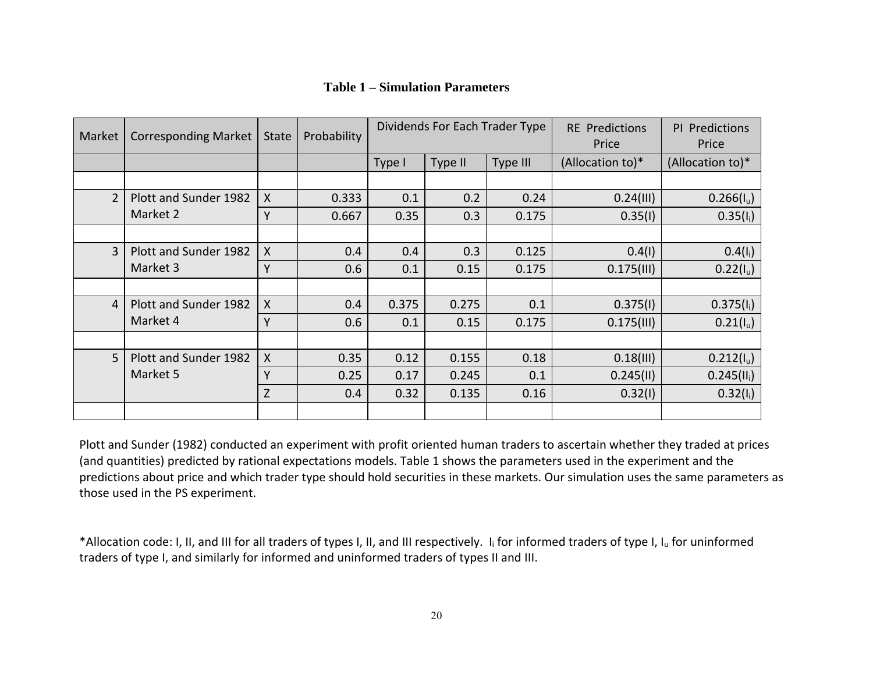| <b>Table 1 – Simulation Parameters</b> |  |
|----------------------------------------|--|
|----------------------------------------|--|

| Market         | Corresponding Market              | <b>State</b> | Probability |        |         | Dividends For Each Trader Type | <b>RE</b> Predictions<br>Price | PI Predictions<br>Price |  |
|----------------|-----------------------------------|--------------|-------------|--------|---------|--------------------------------|--------------------------------|-------------------------|--|
|                |                                   |              |             | Type I | Type II | Type III                       | (Allocation to)*               | (Allocation to)*        |  |
|                |                                   |              |             |        |         |                                |                                |                         |  |
| $\overline{2}$ | Plott and Sunder 1982             | X            | 0.333       | 0.1    | 0.2     | 0.24                           | 0.24(III)                      | $0.266(I_u)$            |  |
|                | Market 2                          | Y            | 0.667       | 0.35   | 0.3     | 0.175                          | 0.35(1)                        | $0.35(I_i)$             |  |
|                |                                   |              |             |        |         |                                |                                |                         |  |
| 3              | Plott and Sunder 1982             | $\mathsf{X}$ | 0.4         | 0.4    | 0.3     | 0.125                          | 0.4(1)                         | $0.4(I_i)$              |  |
| Market 3       |                                   | Υ            | 0.6         | 0.1    | 0.15    | 0.175                          | $0.175$ (III)                  | 0.22(1)                 |  |
|                |                                   |              |             |        |         |                                |                                |                         |  |
| $\overline{4}$ | Plott and Sunder 1982             | X            | 0.4         | 0.375  | 0.275   | 0.1                            | 0.375(1)                       | $0.375(I_i)$            |  |
|                | Market 4                          | Y            | 0.6         | 0.1    | 0.15    | 0.175                          | $0.175$ (III)                  | 0.21(I <sub>u</sub> )   |  |
|                |                                   |              |             |        |         |                                |                                |                         |  |
| 5              | Plott and Sunder 1982<br>Market 5 |              | 0.35        | 0.12   | 0.155   | 0.18                           | 0.18(III)                      | 0.212(I <sub>u</sub> )  |  |
|                |                                   |              | 0.25        | 0.17   | 0.245   | 0.1                            | 0.245(11)                      | $0.245(II_i)$           |  |
|                |                                   |              | 0.4         | 0.32   | 0.135   | 0.16                           | 0.32(1)                        | $0.32(I_i)$             |  |
|                |                                   |              |             |        |         |                                |                                |                         |  |

Plott and Sunder (1982) conducted an experiment with profit oriented human traders to ascertain whether they traded at prices (and quantities) predicted by rational expectations models. Table 1 shows the parameters used in the experiment and the predictions about price and which trader type should hold securities in these markets. Our simulation uses the same parameters as those used in the PS experiment.

\*Allocation code: I, II, and III for all traders of types I, II, and III respectively. I<sub>i</sub> for informed traders of type I, I<sub>u</sub> for uninformed traders of type I, and similarly for informed and uninformed traders of types II and III.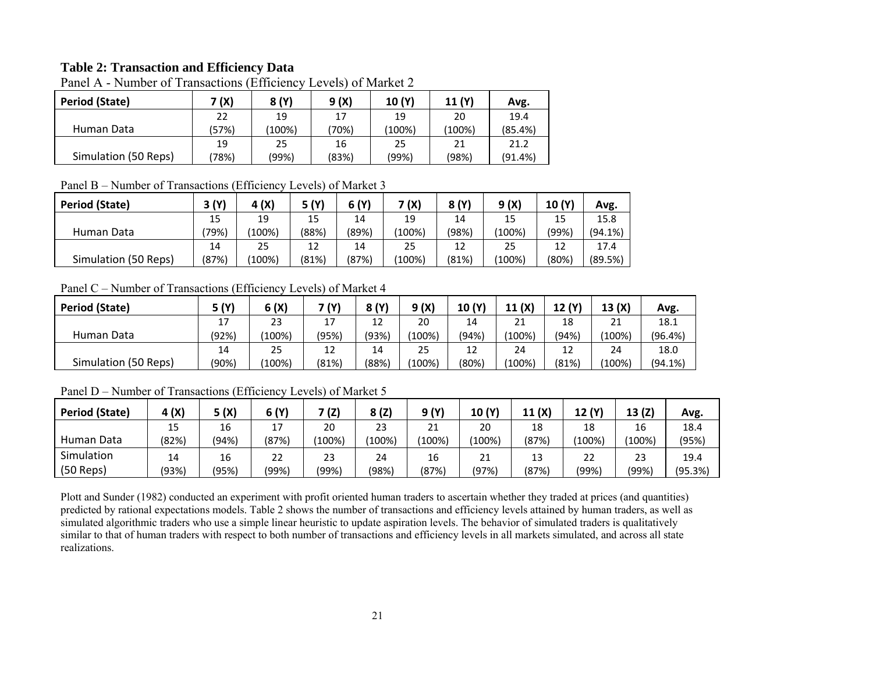#### **Table 2: Transaction and Efficiency Data**

| Period (State)       | 7 (X) | 8(Y)   | 9(X)  | 10(Y)  | 11 (Y) | Avg.    |
|----------------------|-------|--------|-------|--------|--------|---------|
|                      | 22    | 19     | 17    | 19     | 20     | 19.4    |
| Human Data           | (57%) | (100%) | 70%)  | (100%) | (100%) | (85.4%) |
|                      | 19    | 25     | 16    | 25     | 21     | 21.2    |
| Simulation (50 Reps) | 78%)  | (99%)  | (83%) | (99%)  | (98%)  | (91.4%) |

Panel A - Number of Transactions (Efficiency Levels) of Market 2

## Panel B – Number of Transactions (Efficiency Levels) of Market 3

| <b>Period (State)</b> | 3(Y)  | (X)    | 5 (Y) | 6(Y)  | 7(X)      | 8(Y)  | 9(X)   | 10(Y) | Avg.    |
|-----------------------|-------|--------|-------|-------|-----------|-------|--------|-------|---------|
|                       | 15    | 19     | 15    | 14    | 19        | 14    | 15     | 15    | 15.8    |
| Human Data            | '79%. | (100%) | (88%) | (89%) | $(100\%)$ | (98%) | (100%) | (99%  | (94.1%) |
|                       | 14    | 25     | 12    | 14    | 25        | 12    | 25     | 12    | 17.4    |
| Simulation (50 Reps)  | (87%) | (100%) | (81%) | (87%) | $(100\%)$ | (81%) | (100%) | (80%  | (89.5%) |

Panel C – Number of Transactions (Efficiency Levels) of Market 4

| <b>Period (State)</b> | 5 (Y) | 6(X)   | 7 (Y) | 8(Y) | 9(X)      | 10(Y)    | 11 (X)    | 12 (Y) | 13(X)  | Avg.    |
|-----------------------|-------|--------|-------|------|-----------|----------|-----------|--------|--------|---------|
|                       | 17    | 23     | 17    | 12   | 20        | 14       | 21        | 18     | 21     | 18.1    |
| Human Data            | (92%) | 100%)  | (95%) | (93% | $(100\%)$ | (94%     | $(100\%)$ | (94%)  | (100%) | (96.4%) |
|                       | 14    | 25     | 12    | 14   | 25        | 12       | 24        | 12     | 24     | 18.0    |
| Simulation (50 Reps)  | (90%) | '100%) | (81%) | (88% | $(100\%)$ | $(80\%)$ | $(100\%)$ | (81%)  | (100%) | (94.1%) |

Panel D – Number of Transactions (Efficiency Levels) of Market 5

| <b>Period (State)</b> | 4(X)  | 5 (X) | 6 (Y) | (Z)    | (Z)              | 9 (Y'     | 10(Y)  | 11(X) | 12 (Y) | 13(2)   | Avg.    |
|-----------------------|-------|-------|-------|--------|------------------|-----------|--------|-------|--------|---------|---------|
|                       | 15    | 16    |       | 20     | 23               | 21        | 20     | 18    | 18     | 16      | 18.4    |
| Human Data            | (82%) | (94%) | (87%) | `100%) | $^{\prime}100\%$ | $(100\%)$ | (100%) | (87%  | (100%) | $100\%$ | (95%)   |
| Simulation            | 14    | 16    | 22    | 23     | 24               | 16        | 21     | 13    | 22     | 23      | 19.4    |
| $(50$ Reps)           | (93%) | (95%) | (99%) | '99%)  | (98%)            | (87%)     | (97%)  | (87%  | (99%   | (99%)   | (95.3%) |

Plott and Sunder (1982) conducted an experiment with profit oriented human traders to ascertain whether they traded at prices (and quantities) predicted by rational expectations models. Table 2 shows the number of transactions and efficiency levels attained by human traders, as well as simulated algorithmic traders who use a simple linear heuristic to update aspiration levels. The behavior of simulated traders is qualitatively similar to that of human traders with respect to both number of transactions and efficiency levels in all markets simulated, and across all state realizations.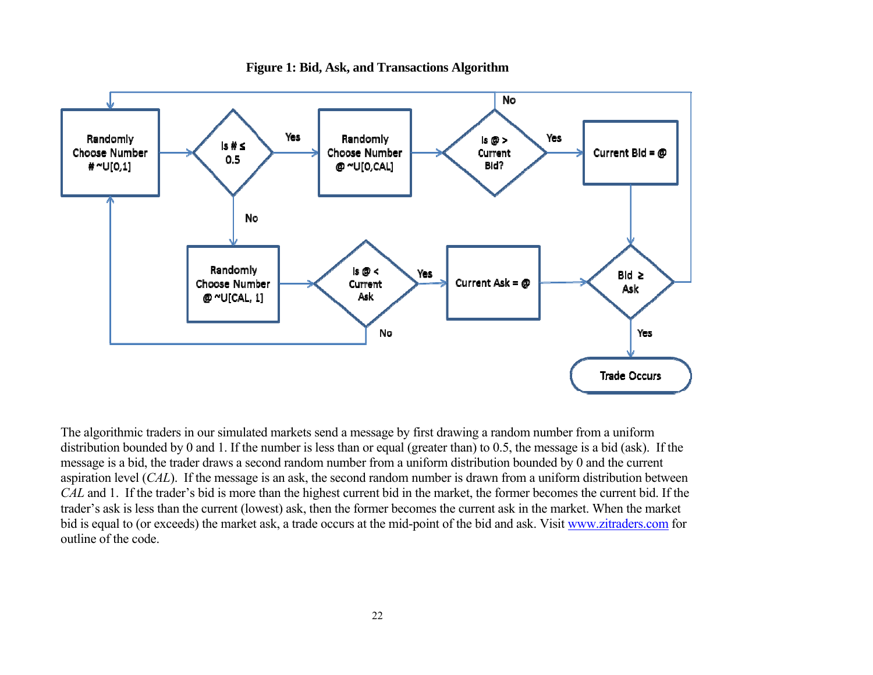

**Figure 1: Bid, Ask, and Transactions Algorithm** 

The algorithmic traders in our simulated markets send a message by first drawing a random number from a uniform distribution bounded by 0 and 1. If the number is less than or equal (greater than) to 0.5, the message is a bid (ask). If the message is a bid, the trader draws a second random number from a uniform distribution bounded by 0 and the current aspiration level (*CAL*). If the message is an ask, the second random number is drawn from a uniform distribution between *CAL* and 1. If the trader's bid is more than the highest current bid in the market, the former becomes the current bid. If the trader's ask is less than the current (lowest) ask, then the former becomes the current ask in the market. When the market bid is equal to (or exceeds) the market ask, a trade occurs at the mid-point of the bid and ask. Visit www.zitraders.com for outline of the code.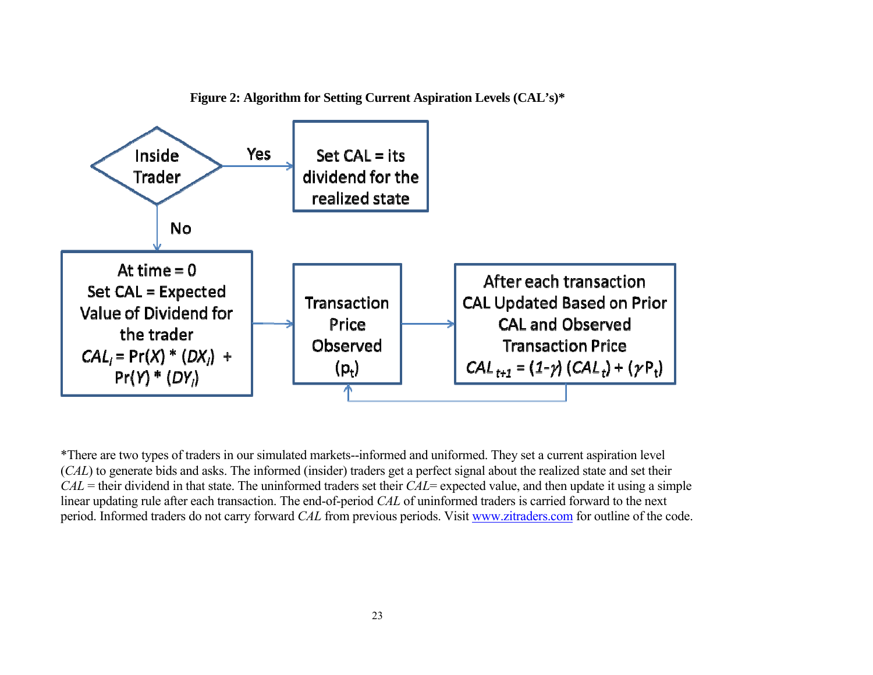

**Figure 2: Algorithm for Setting Current Aspiration Levels (CAL's)\*** 

\*There are two types of traders in our simulated markets--informed and uniformed. They set a current aspiration level (*CAL*) to generate bids and asks. The informed (insider) traders get a perfect signal about the realized state and set their *CAL* = their dividend in that state. The uninformed traders set their *CAL*= expected value, and then update it using a simple linear updating rule after each transaction. The end-of-period *CAL* of uninformed traders is carried forward to the next period. Informed traders do not carry forward *CAL* from previous periods. Visit www.zitraders.com for outline of the code.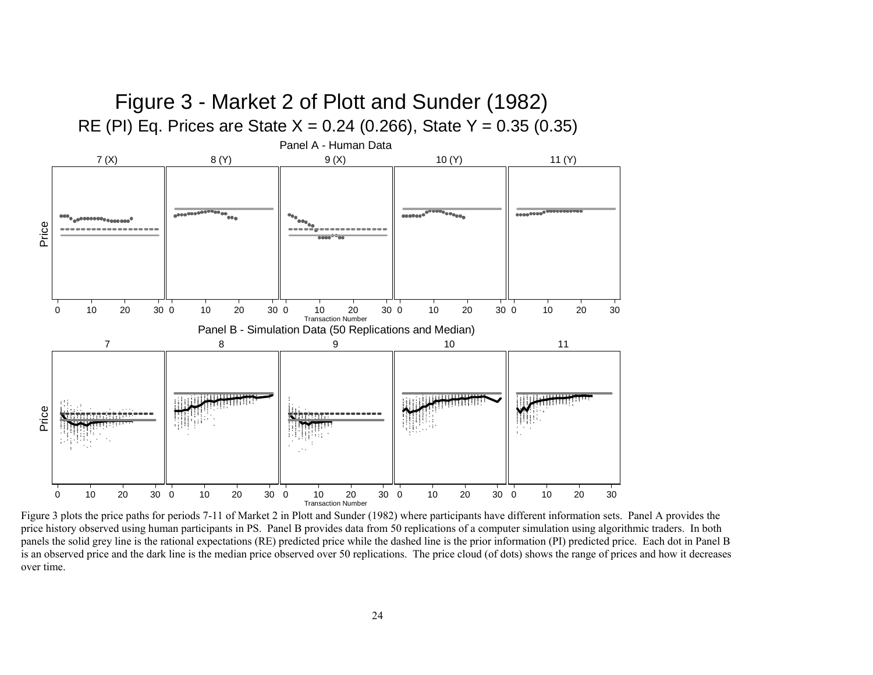

Figure 3 plots the price paths for periods 7-11 of Market 2 in Plott and Sunder (1982) where participants have different information sets. Panel A provides the price history observed using human participants in PS. Panel B provides data from 50 replications of a computer simulation using algorithmic traders. In both panels the solid grey line is the rational expectations (RE) predicted price while the dashed line is the prior information (PI) predicted price. Each dot in Panel B is an observed price and the dark line is the median price observed over 50 replications. The price cloud (of dots) shows the range of prices and how it decreases over time.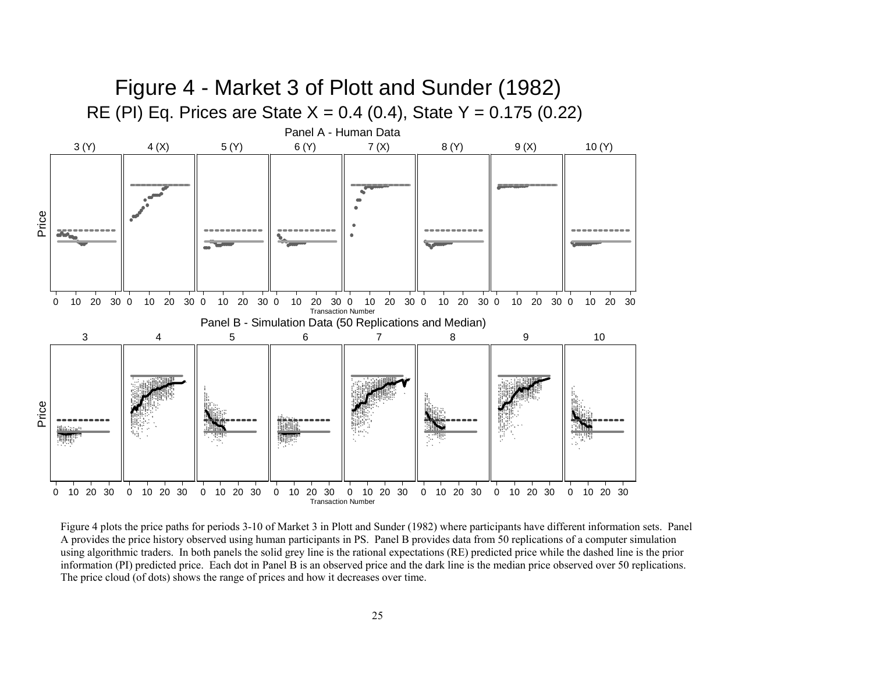

Figure 4 plots the price paths for periods 3-10 of Market 3 in Plott and Sunder (1982) where participants have different information sets. Panel A provides the price history observed using human participants in PS. Panel B provides data from 50 replications of a computer simulation using algorithmic traders. In both panels the solid grey line is the rational expectations (RE) predicted price while the dashed line is the prior information (PI) predicted price. Each dot in Panel B is an observed price and the dark line is the median price observed over 50 replications. The price cloud (of dots) shows the range of prices and how it decreases over time.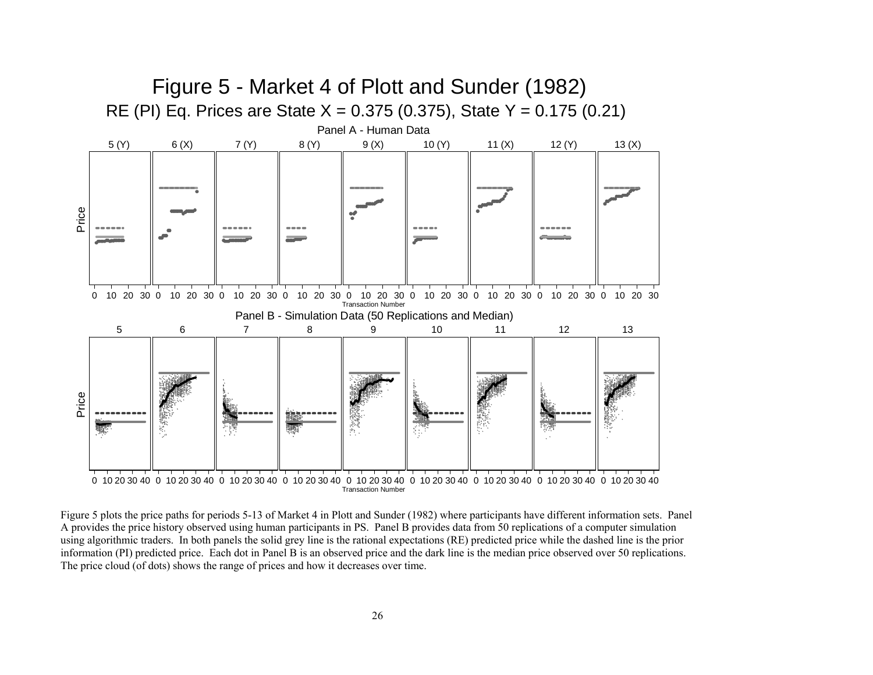

Figure 5 plots the price paths for periods 5-13 of Market 4 in Plott and Sunder (1982) where participants have different information sets. Panel A provides the price history observed using human participants in PS. Panel B provides data from 50 replications of a computer simulation using algorithmic traders. In both panels the solid grey line is the rational expectations (RE) predicted price while the dashed line is the prior information (PI) predicted price. Each dot in Panel B is an observed price and the dark line is the median price observed over 50 replications. The price cloud (of dots) shows the range of prices and how it decreases over time.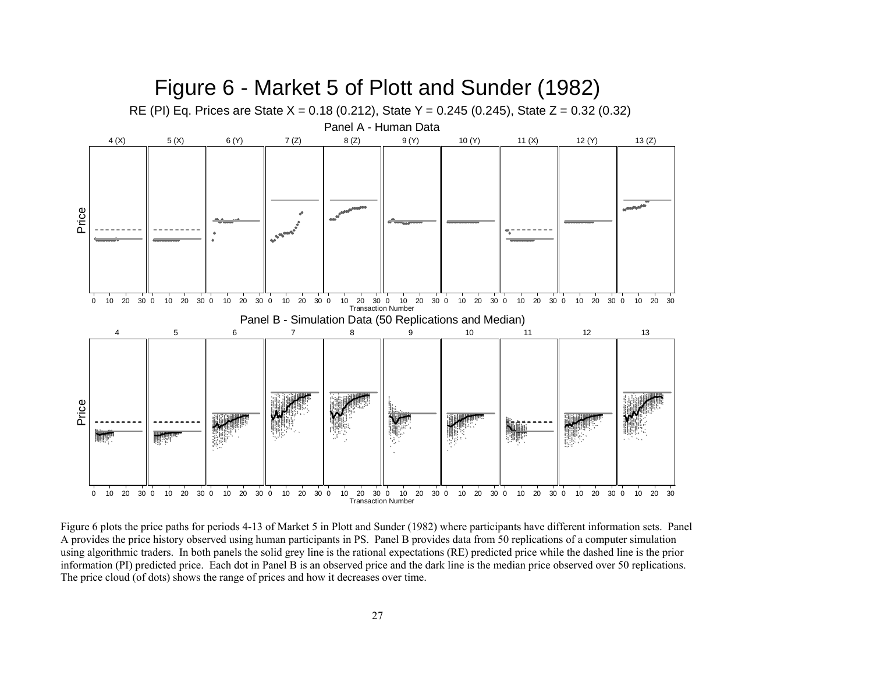

Figure 6 plots the price paths for periods 4-13 of Market 5 in Plott and Sunder (1982) where participants have different information sets. Panel A provides the price history observed using human participants in PS. Panel B provides data from 50 replications of a computer simulation using algorithmic traders. In both panels the solid grey line is the rational expectations (RE) predicted price while the dashed line is the prior information (PI) predicted price. Each dot in Panel B is an observed price and the dark line is the median price observed over 50 replications. The price cloud (of dots) shows the range of prices and how it decreases over time.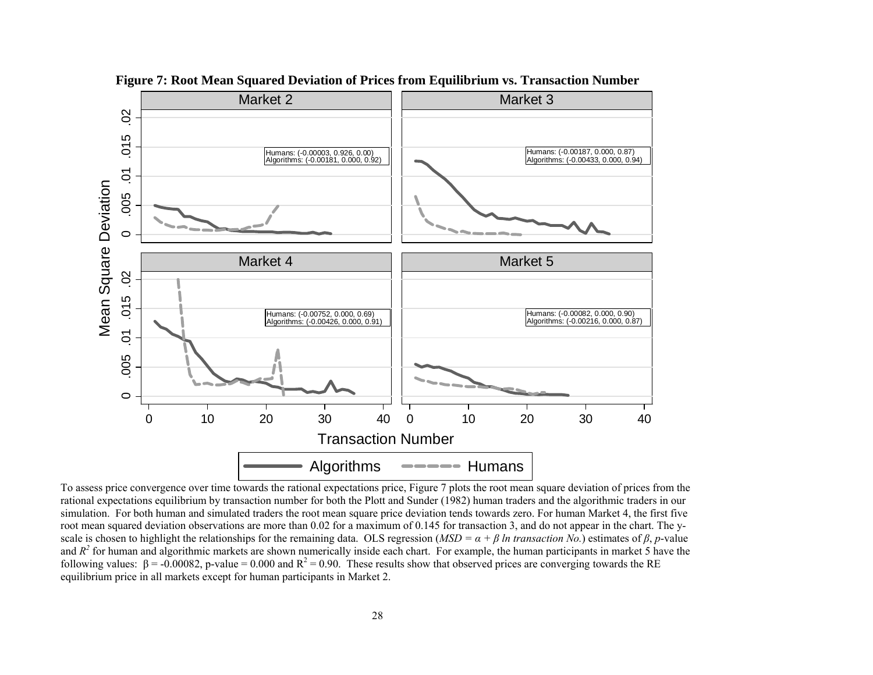

**Figure 7: Root Mean Squared Deviation of Prices from Equilibrium vs. Transaction Number**

To assess price convergence over time towards the rational expectations price, Figure 7 plots the root mean square deviation of prices from the rational expectations equilibrium by transaction number for both the Plott and Sunder (1982) human traders and the algorithmic traders in our simulation. For both human and simulated traders the root mean square price deviation tends towards zero. For human Market 4, the first five root mean squared deviation observations are more than 0.02 for a maximum of 0.145 for transaction 3, and do not appear in the chart. The yscale is chosen to highlight the relationships for the remaining data. OLS regression ( $MSD = \alpha + \beta \ln$  transaction No.) estimates of  $\beta$ , *p*-value and  $R^2$  for human and algorithmic markets are shown numerically inside each chart. For example, the human participants in market 5 have the following values:  $\beta = -0.00082$ , p-value = 0.000 and  $R^2 = 0.90$ . These results show that observed prices are converging towards the RE equilibrium price in all markets except for human participants in Market 2.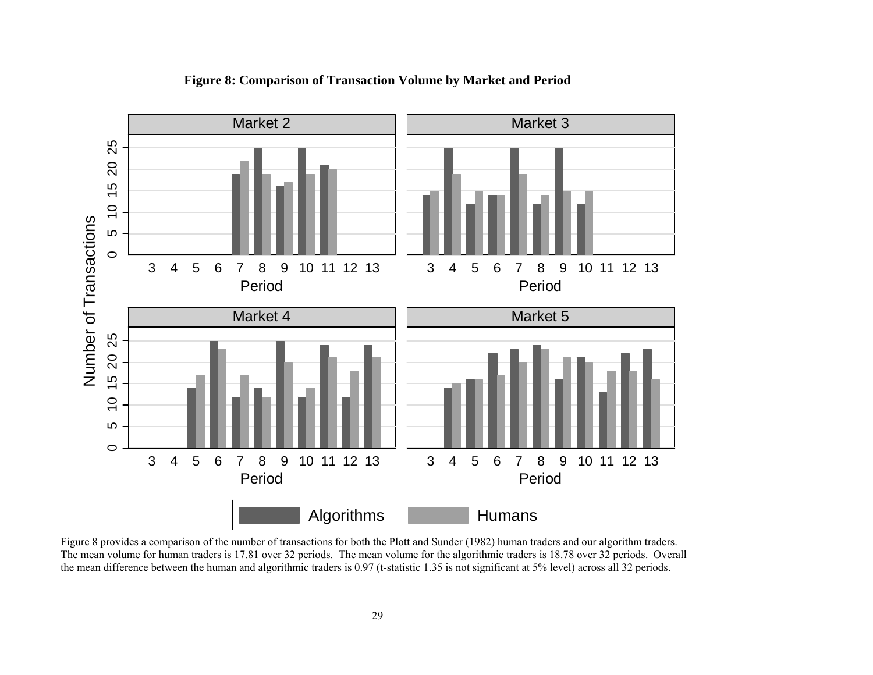

#### **Figure 8: Comparison of Transaction Volume by Market and Period**

Figure 8 provides a comparison of the number of transactions for both the Plott and Sunder (1982) human traders and our algorithm traders. The mean volume for human traders is 17.81 over 32 periods. The mean volume for the algorithmic traders is 18.78 over 32 periods. Overall the mean difference between the human and algorithmic traders is 0.97 (t-statistic 1.35 is not significant at 5% level) across all 32 periods.